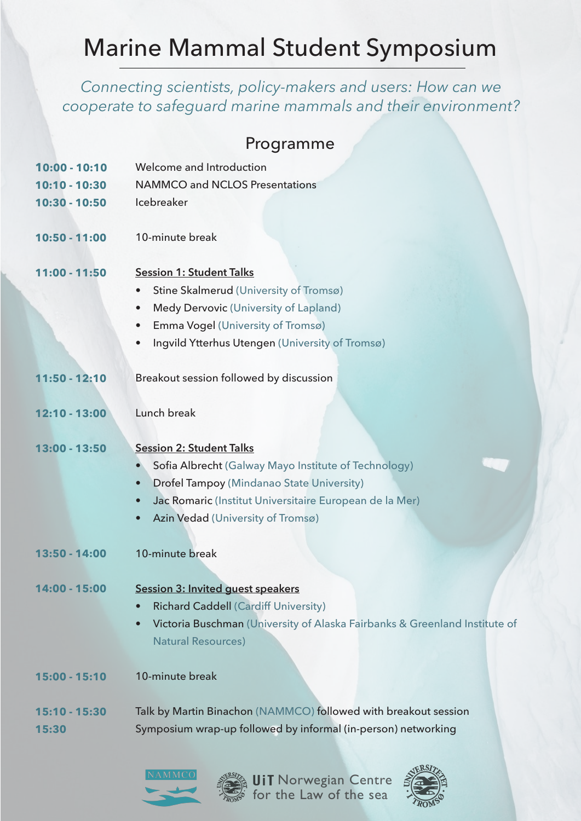# Marine Mammal Student Symposium

*Connecting scientists, policy-makers and users: How can we cooperate to safeguard marine mammals and their environment?*

## Programme

| $10:00 - 10:10$ | Welcome and Introduction                                                   |
|-----------------|----------------------------------------------------------------------------|
| $10:10 - 10:30$ | <b>NAMMCO and NCLOS Presentations</b>                                      |
| 10:30 - 10:50   | Icebreaker                                                                 |
| $10:50 - 11:00$ | 10-minute break                                                            |
| $11:00 - 11:50$ | <b>Session 1: Student Talks</b>                                            |
|                 | Stine Skalmerud (University of Tromsø)<br>$\bullet$                        |
|                 | Medy Dervovic (University of Lapland)<br>$\bullet$                         |
|                 | Emma Vogel (University of Tromsø)<br>$\bullet$                             |
|                 | Ingvild Ytterhus Utengen (University of Tromsø)<br>$\bullet$               |
|                 |                                                                            |
| 11:50 - 12:10   | Breakout session followed by discussion                                    |
|                 |                                                                            |
| $12:10 - 13:00$ | Lunch break                                                                |
|                 |                                                                            |
| 13:00 - 13:50   | <b>Session 2: Student Talks</b>                                            |
|                 | Sofia Albrecht (Galway Mayo Institute of Technology)<br>$\bullet$          |
|                 | <b>Drofel Tampoy (Mindanao State University)</b><br>$\bullet$              |
|                 | Jac Romaric (Institut Universitaire European de la Mer)<br>$\bullet$       |
|                 | Azin Vedad (University of Tromsø)<br>$\bullet$                             |
|                 |                                                                            |
| 13:50 - 14:00   | 10-minute break                                                            |
|                 |                                                                            |
| 14:00 - 15:00   | <b>Session 3: Invited guest speakers</b>                                   |
|                 | <b>Richard Caddell (Cardiff University)</b>                                |
|                 | Victoria Buschman (University of Alaska Fairbanks & Greenland Institute of |
|                 | <b>Natural Resources)</b>                                                  |
|                 |                                                                            |
| 15:00 - 15:10   | 10-minute break                                                            |
|                 |                                                                            |
| 15:10 - 15:30   | Talk by Martin Binachon (NAMMCO) followed with breakout session            |
| 15:30           | Symposium wrap-up followed by informal (in-person) networking              |



for the Law of the sea Norwegian Centre

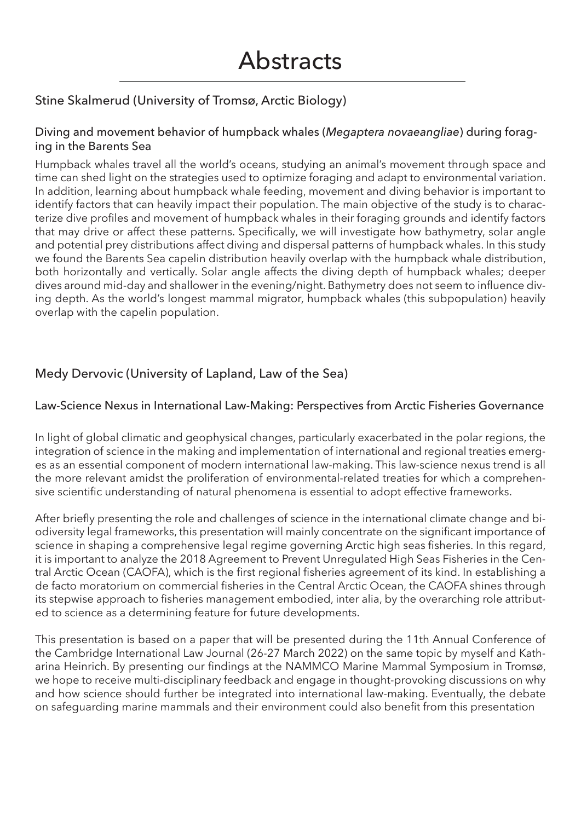## Stine Skalmerud (University of Tromsø, Arctic Biology)

#### Diving and movement behavior of humpback whales (*Megaptera novaeangliae*) during foraging in the Barents Sea

Humpback whales travel all the world's oceans, studying an animal's movement through space and time can shed light on the strategies used to optimize foraging and adapt to environmental variation. In addition, learning about humpback whale feeding, movement and diving behavior is important to identify factors that can heavily impact their population. The main objective of the study is to characterize dive profiles and movement of humpback whales in their foraging grounds and identify factors that may drive or affect these patterns. Specifically, we will investigate how bathymetry, solar angle and potential prey distributions affect diving and dispersal patterns of humpback whales. In this study we found the Barents Sea capelin distribution heavily overlap with the humpback whale distribution, both horizontally and vertically. Solar angle affects the diving depth of humpback whales; deeper dives around mid-day and shallower in the evening/night. Bathymetry does not seem to influence diving depth. As the world's longest mammal migrator, humpback whales (this subpopulation) heavily overlap with the capelin population.

## Medy Dervovic (University of Lapland, Law of the Sea)

#### Law-Science Nexus in International Law-Making: Perspectives from Arctic Fisheries Governance

In light of global climatic and geophysical changes, particularly exacerbated in the polar regions, the integration of science in the making and implementation of international and regional treaties emerges as an essential component of modern international law-making. This law-science nexus trend is all the more relevant amidst the proliferation of environmental-related treaties for which a comprehensive scientific understanding of natural phenomena is essential to adopt effective frameworks.

After briefly presenting the role and challenges of science in the international climate change and biodiversity legal frameworks, this presentation will mainly concentrate on the significant importance of science in shaping a comprehensive legal regime governing Arctic high seas fisheries. In this regard, it is important to analyze the 2018 Agreement to Prevent Unregulated High Seas Fisheries in the Central Arctic Ocean (CAOFA), which is the first regional fisheries agreement of its kind. In establishing a de facto moratorium on commercial fisheries in the Central Arctic Ocean, the CAOFA shines through its stepwise approach to fisheries management embodied, inter alia, by the overarching role attributed to science as a determining feature for future developments.

This presentation is based on a paper that will be presented during the 11th Annual Conference of the Cambridge International Law Journal (26-27 March 2022) on the same topic by myself and Katharina Heinrich. By presenting our findings at the NAMMCO Marine Mammal Symposium in Tromsø, we hope to receive multi-disciplinary feedback and engage in thought-provoking discussions on why and how science should further be integrated into international law-making. Eventually, the debate on safeguarding marine mammals and their environment could also benefit from this presentation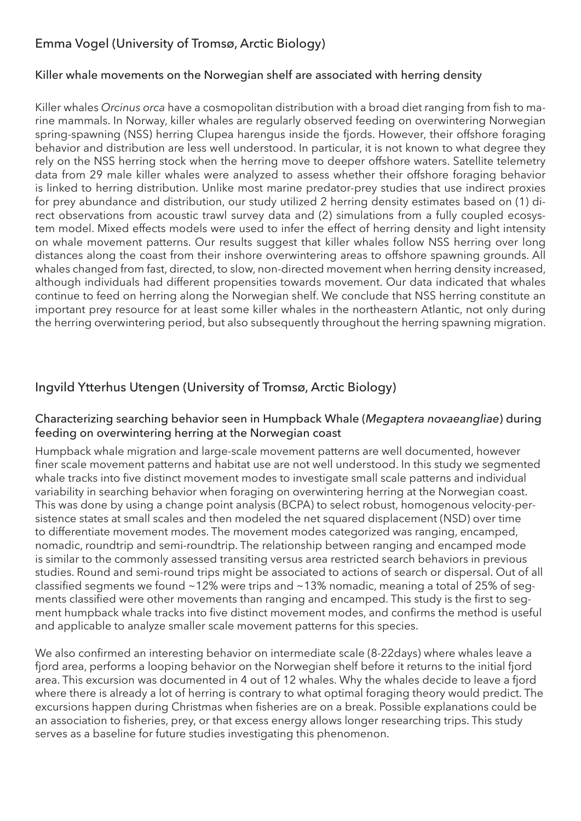## Emma Vogel (University of Tromsø, Arctic Biology)

#### Killer whale movements on the Norwegian shelf are associated with herring density

Killer whales *Orcinus orca* have a cosmopolitan distribution with a broad diet ranging from fish to marine mammals. In Norway, killer whales are regularly observed feeding on overwintering Norwegian spring-spawning (NSS) herring Clupea harengus inside the fjords. However, their offshore foraging behavior and distribution are less well understood. In particular, it is not known to what degree they rely on the NSS herring stock when the herring move to deeper offshore waters. Satellite telemetry data from 29 male killer whales were analyzed to assess whether their offshore foraging behavior is linked to herring distribution. Unlike most marine predator-prey studies that use indirect proxies for prey abundance and distribution, our study utilized 2 herring density estimates based on (1) direct observations from acoustic trawl survey data and (2) simulations from a fully coupled ecosystem model. Mixed effects models were used to infer the effect of herring density and light intensity on whale movement patterns. Our results suggest that killer whales follow NSS herring over long distances along the coast from their inshore overwintering areas to offshore spawning grounds. All whales changed from fast, directed, to slow, non-directed movement when herring density increased, although individuals had different propensities towards movement. Our data indicated that whales continue to feed on herring along the Norwegian shelf. We conclude that NSS herring constitute an important prey resource for at least some killer whales in the northeastern Atlantic, not only during the herring overwintering period, but also subsequently throughout the herring spawning migration.

## Ingvild Ytterhus Utengen (University of Tromsø, Arctic Biology)

#### Characterizing searching behavior seen in Humpback Whale (*Megaptera novaeangliae*) during feeding on overwintering herring at the Norwegian coast

Humpback whale migration and large-scale movement patterns are well documented, however finer scale movement patterns and habitat use are not well understood. In this study we segmented whale tracks into five distinct movement modes to investigate small scale patterns and individual variability in searching behavior when foraging on overwintering herring at the Norwegian coast. This was done by using a change point analysis (BCPA) to select robust, homogenous velocity-persistence states at small scales and then modeled the net squared displacement (NSD) over time to differentiate movement modes. The movement modes categorized was ranging, encamped, nomadic, roundtrip and semi-roundtrip. The relationship between ranging and encamped mode is similar to the commonly assessed transiting versus area restricted search behaviors in previous studies. Round and semi-round trips might be associated to actions of search or dispersal. Out of all classified segments we found ~12% were trips and ~13% nomadic, meaning a total of 25% of segments classified were other movements than ranging and encamped. This study is the first to segment humpback whale tracks into five distinct movement modes, and confirms the method is useful and applicable to analyze smaller scale movement patterns for this species.

We also confirmed an interesting behavior on intermediate scale (8-22days) where whales leave a fjord area, performs a looping behavior on the Norwegian shelf before it returns to the initial fjord area. This excursion was documented in 4 out of 12 whales. Why the whales decide to leave a fjord where there is already a lot of herring is contrary to what optimal foraging theory would predict. The excursions happen during Christmas when fisheries are on a break. Possible explanations could be an association to fisheries, prey, or that excess energy allows longer researching trips. This study serves as a baseline for future studies investigating this phenomenon.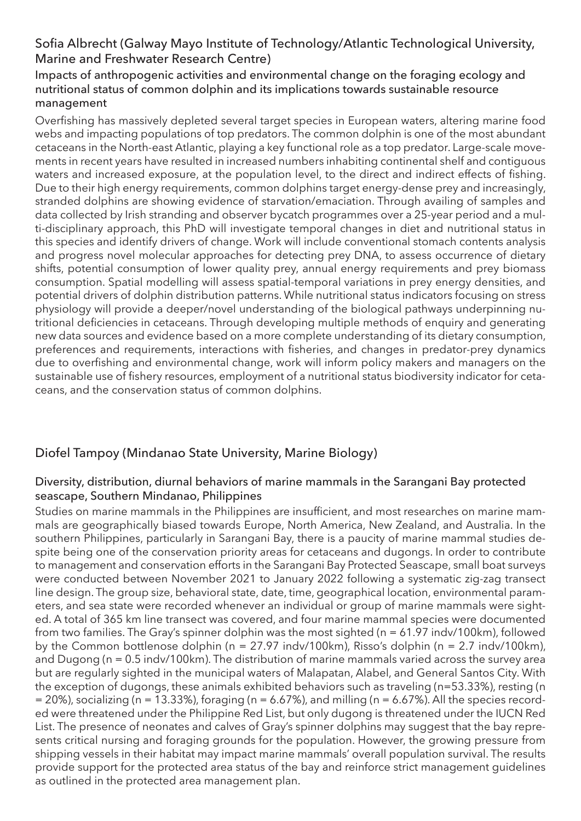## Sofia Albrecht (Galway Mayo Institute of Technology/Atlantic Technological University, Marine and Freshwater Research Centre)

#### Impacts of anthropogenic activities and environmental change on the foraging ecology and nutritional status of common dolphin and its implications towards sustainable resource management

Overfishing has massively depleted several target species in European waters, altering marine food webs and impacting populations of top predators. The common dolphin is one of the most abundant cetaceans in the North-east Atlantic, playing a key functional role as a top predator. Large-scale movements in recent years have resulted in increased numbers inhabiting continental shelf and contiguous waters and increased exposure, at the population level, to the direct and indirect effects of fishing. Due to their high energy requirements, common dolphins target energy-dense prey and increasingly, stranded dolphins are showing evidence of starvation/emaciation. Through availing of samples and data collected by Irish stranding and observer bycatch programmes over a 25-year period and a multi-disciplinary approach, this PhD will investigate temporal changes in diet and nutritional status in this species and identify drivers of change. Work will include conventional stomach contents analysis and progress novel molecular approaches for detecting prey DNA, to assess occurrence of dietary shifts, potential consumption of lower quality prey, annual energy requirements and prey biomass consumption. Spatial modelling will assess spatial-temporal variations in prey energy densities, and potential drivers of dolphin distribution patterns. While nutritional status indicators focusing on stress physiology will provide a deeper/novel understanding of the biological pathways underpinning nutritional deficiencies in cetaceans. Through developing multiple methods of enquiry and generating new data sources and evidence based on a more complete understanding of its dietary consumption, preferences and requirements, interactions with fisheries, and changes in predator-prey dynamics due to overfishing and environmental change, work will inform policy makers and managers on the sustainable use of fishery resources, employment of a nutritional status biodiversity indicator for cetaceans, and the conservation status of common dolphins.

## Diofel Tampoy (Mindanao State University, Marine Biology)

#### Diversity, distribution, diurnal behaviors of marine mammals in the Sarangani Bay protected seascape, Southern Mindanao, Philippines

Studies on marine mammals in the Philippines are insufficient, and most researches on marine mammals are geographically biased towards Europe, North America, New Zealand, and Australia. In the southern Philippines, particularly in Sarangani Bay, there is a paucity of marine mammal studies despite being one of the conservation priority areas for cetaceans and dugongs. In order to contribute to management and conservation efforts in the Sarangani Bay Protected Seascape, small boat surveys were conducted between November 2021 to January 2022 following a systematic zig-zag transect line design. The group size, behavioral state, date, time, geographical location, environmental parameters, and sea state were recorded whenever an individual or group of marine mammals were sighted. A total of 365 km line transect was covered, and four marine mammal species were documented from two families. The Gray's spinner dolphin was the most sighted (n = 61.97 indv/100km), followed by the Common bottlenose dolphin (n = 27.97 indv/100km), Risso's dolphin (n = 2.7 indv/100km), and Dugong (n = 0.5 indv/100km). The distribution of marine mammals varied across the survey area but are regularly sighted in the municipal waters of Malapatan, Alabel, and General Santos City. With the exception of dugongs, these animals exhibited behaviors such as traveling (n=53.33%), resting (n  $= 20\%$ ), socializing (n = 13.33%), foraging (n = 6.67%), and milling (n = 6.67%). All the species recorded were threatened under the Philippine Red List, but only dugong is threatened under the IUCN Red List. The presence of neonates and calves of Gray's spinner dolphins may suggest that the bay represents critical nursing and foraging grounds for the population. However, the growing pressure from shipping vessels in their habitat may impact marine mammals' overall population survival. The results provide support for the protected area status of the bay and reinforce strict management guidelines as outlined in the protected area management plan.